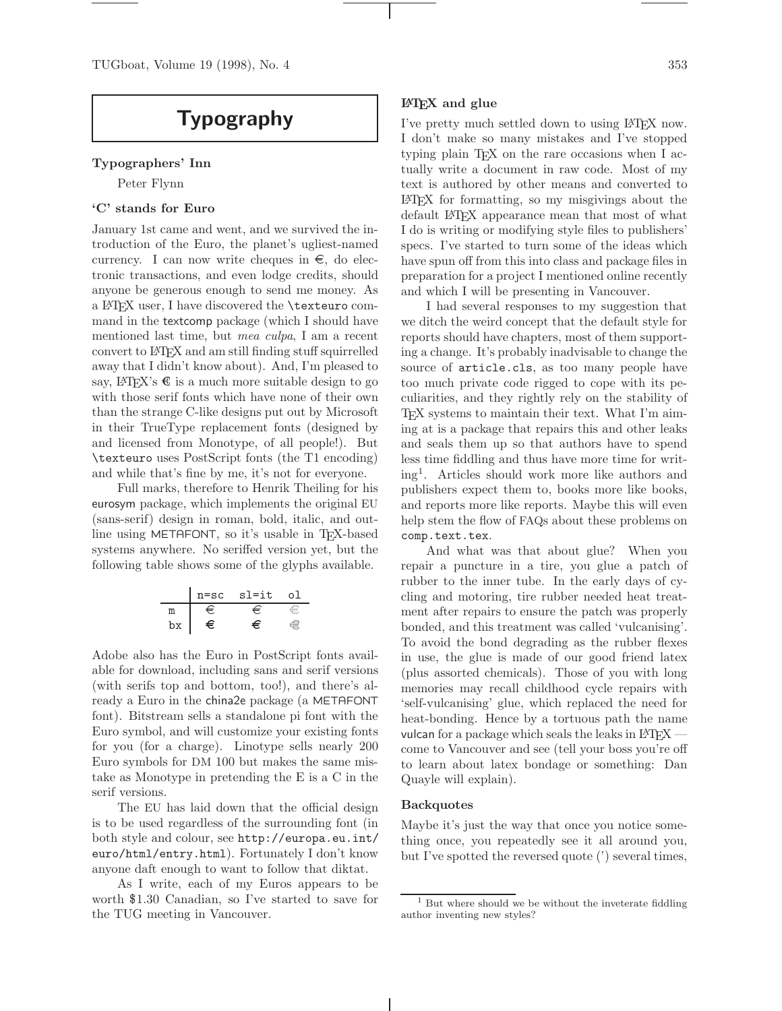# **Typography**

## **Typographers' Inn**

Peter Flynn

## **'C' stands for Euro**

January 1st came and went, and we survived the introduction of the Euro, the planet's ugliest-named currency. I can now write cheques in  $\epsilon$ , do electronic transactions, and even lodge credits, should anyone be generous enough to send me money. As a LATEX user, I have discovered the \texteuro command in the textcomp package (which I should have mentioned last time, but mea culpa, I am a recent convert to LATEX and am still finding stuff squirrelled away that I didn't know about). And, I'm pleased to say,  $\mathbb{F}$ F<sub>E</sub>X's  $\epsilon$  is a much more suitable design to go with those serif fonts which have none of their own than the strange C-like designs put out by Microsoft in their TrueType replacement fonts (designed by and licensed from Monotype, of all people!). But \texteuro uses PostScript fonts (the T1 encoding) and while that's fine by me, it's not for everyone.

Full marks, therefore to Henrik Theiling for his eurosym package, which implements the original EU (sans-serif) design in roman, bold, italic, and outline using METAFONT, so it's usable in TEX-based systems anywhere. No seriffed version yet, but the following table shows some of the glyphs available.

|    | n=sc sl=it |  |
|----|------------|--|
|    |            |  |
| DХ |            |  |

Adobe also has the Euro in PostScript fonts available for download, including sans and serif versions (with serifs top and bottom, too!), and there's already a Euro in the china2e package (a METAFONT font). Bitstream sells a standalone pi font with the Euro symbol, and will customize your existing fonts for you (for a charge). Linotype sells nearly 200 Euro symbols for DM 100 but makes the same mistake as Monotype in pretending the E is a C in the serif versions.

The EU has laid down that the official design is to be used regardless of the surrounding font (in both style and colour, see http://europa.eu.int/ euro/html/entry.html). Fortunately I don't know anyone daft enough to want to follow that diktat.

As I write, each of my Euros appears to be worth \$1.30 Canadian, so I've started to save for the TUG meeting in Vancouver.

I've pretty much settled down to using LATEX now. I don't make so many mistakes and I've stopped typing plain T<sub>EX</sub> on the rare occasions when I actually write a document in raw code. Most of my text is authored by other means and converted to LATEX for formatting, so my misgivings about the default LATEX appearance mean that most of what I do is writing or modifying style files to publishers' specs. I've started to turn some of the ideas which have spun off from this into class and package files in preparation for a project I mentioned online recently and which I will be presenting in Vancouver.

I had several responses to my suggestion that we ditch the weird concept that the default style for reports should have chapters, most of them supporting a change. It's probably inadvisable to change the source of article.cls, as too many people have too much private code rigged to cope with its peculiarities, and they rightly rely on the stability of TEX systems to maintain their text. What I'm aiming at is a package that repairs this and other leaks and seals them up so that authors have to spend less time fiddling and thus have more time for writing<sup>1</sup>. Articles should work more like authors and publishers expect them to, books more like books, and reports more like reports. Maybe this will even help stem the flow of FAQs about these problems on comp.text.tex.

And what was that about glue? When you repair a puncture in a tire, you glue a patch of rubber to the inner tube. In the early days of cycling and motoring, tire rubber needed heat treatment after repairs to ensure the patch was properly bonded, and this treatment was called 'vulcanising'. To avoid the bond degrading as the rubber flexes in use, the glue is made of our good friend latex (plus assorted chemicals). Those of you with long memories may recall childhood cycle repairs with 'self-vulcanising' glue, which replaced the need for heat-bonding. Hence by a tortuous path the name vulcan for a package which seals the leaks in  $\text{LFTFX}$  – come to Vancouver and see (tell your boss you're off to learn about latex bondage or something: Dan Quayle will explain).

#### **Backquotes**

Maybe it's just the way that once you notice something once, you repeatedly see it all around you, but I've spotted the reversed quote (') several times,

 $1$  But where should we be without the inveterate fiddling author inventing new styles?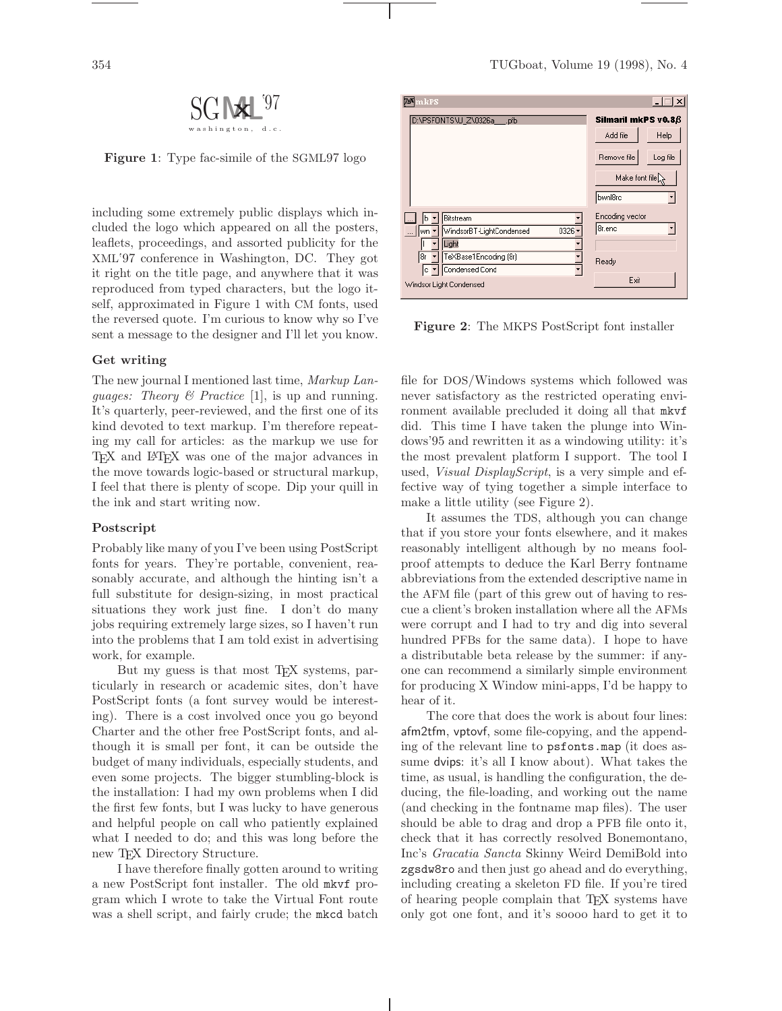

**Figure 1**: Type fac-simile of the SGML97 logo

including some extremely public displays which included the logo which appeared on all the posters, leaflets, proceedings, and assorted publicity for the XML '97 conference in Washington, DC. They got it right on the title page, and anywhere that it was reproduced from typed characters, but the logo itself, approximated in Figure 1 with CM fonts, used the reversed quote. I'm curious to know why so I've sent a message to the designer and I'll let you know.

#### **Get writing**

The new journal I mentioned last time, Markup Lan*guages: Theory & Practice* [1], is up and running. It's quarterly, peer-reviewed, and the first one of its kind devoted to text markup. I'm therefore repeating my call for articles: as the markup we use for TEX and LATEX was one of the major advances in the move towards logic-based or structural markup, I feel that there is plenty of scope. Dip your quill in the ink and start writing now.

#### **Postscript**

Probably like many of you I've been using PostScript fonts for years. They're portable, convenient, reasonably accurate, and although the hinting isn't a full substitute for design-sizing, in most practical situations they work just fine. I don't do many jobs requiring extremely large sizes, so I haven't run into the problems that I am told exist in advertising work, for example.

But my guess is that most T<sub>EX</sub> systems, particularly in research or academic sites, don't have PostScript fonts (a font survey would be interesting). There is a cost involved once you go beyond Charter and the other free PostScript fonts, and although it is small per font, it can be outside the budget of many individuals, especially students, and even some projects. The bigger stumbling-block is the installation: I had my own problems when I did the first few fonts, but I was lucky to have generous and helpful people on call who patiently explained what I needed to do; and this was long before the new TEX Directory Structure.

I have therefore finally gotten around to writing a new PostScript font installer. The old mkvf program which I wrote to take the Virtual Font route was a shell script, and fairly crude; the mkcd batch



**Figure 2**: The MKPS PostScript font installer

file for DOS/Windows systems which followed was never satisfactory as the restricted operating environment available precluded it doing all that mkvf did. This time I have taken the plunge into Windows'95 and rewritten it as a windowing utility: it's the most prevalent platform I support. The tool I used, *Visual DisplayScript*, is a very simple and effective way of tying together a simple interface to make a little utility (see Figure 2).

It assumes the TDS, although you can change that if you store your fonts elsewhere, and it makes reasonably intelligent although by no means foolproof attempts to deduce the Karl Berry fontname abbreviations from the extended descriptive name in the AFM file (part of this grew out of having to rescue a client's broken installation where all the AFMs were corrupt and I had to try and dig into several hundred PFBs for the same data). I hope to have a distributable beta release by the summer: if anyone can recommend a similarly simple environment for producing X Window mini-apps, I'd be happy to hear of it.

The core that does the work is about four lines: afm2tfm, vptovf, some file-copying, and the appending of the relevant line to psfonts.map (it does assume dvips: it's all I know about). What takes the time, as usual, is handling the configuration, the deducing, the file-loading, and working out the name (and checking in the fontname map files). The user should be able to drag and drop a PFB file onto it, check that it has correctly resolved Bonemontano, Inc's Gracatia Sancta Skinny Weird DemiBold into zgsdw8ro and then just go ahead and do everything, including creating a skeleton FD file. If you're tired of hearing people complain that TEX systems have only got one font, and it's soooo hard to get it to